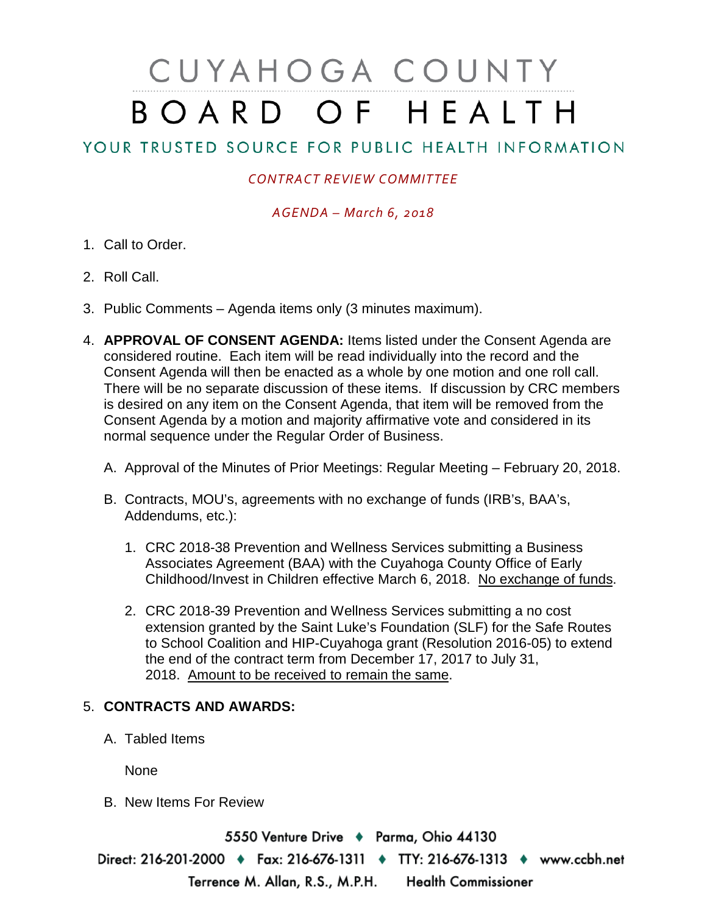# CUYAHOGA COUNTY BOARD OF HEALTH

# YOUR TRUSTED SOURCE FOR PUBLIC HEALTH INFORMATION

## *CONTRACT REVIEW COMMITTEE*

#### *AGENDA – March 6, 2018*

- 1. Call to Order.
- 2. Roll Call.
- 3. Public Comments Agenda items only (3 minutes maximum).
- 4. **APPROVAL OF CONSENT AGENDA:** Items listed under the Consent Agenda are considered routine. Each item will be read individually into the record and the Consent Agenda will then be enacted as a whole by one motion and one roll call. There will be no separate discussion of these items. If discussion by CRC members is desired on any item on the Consent Agenda, that item will be removed from the Consent Agenda by a motion and majority affirmative vote and considered in its normal sequence under the Regular Order of Business.
	- A. Approval of the Minutes of Prior Meetings: Regular Meeting February 20, 2018.
	- B. Contracts, MOU's, agreements with no exchange of funds (IRB's, BAA's, Addendums, etc.):
		- 1. CRC 2018-38 Prevention and Wellness Services submitting a Business Associates Agreement (BAA) with the Cuyahoga County Office of Early Childhood/Invest in Children effective March 6, 2018. No exchange of funds.
		- 2. CRC 2018-39 Prevention and Wellness Services submitting a no cost extension granted by the Saint Luke's Foundation (SLF) for the Safe Routes to School Coalition and HIP-Cuyahoga grant (Resolution 2016-05) to extend the end of the contract term from December 17, 2017 to July 31, 2018. Amount to be received to remain the same.

### 5. **CONTRACTS AND AWARDS:**

A. Tabled Items

None

B. New Items For Review

5550 Venture Drive + Parma, Ohio 44130 Direct: 216-201-2000 • Fax: 216-676-1311 • TTY: 216-676-1313 • www.ccbh.net Terrence M. Allan, R.S., M.P.H. Health Commissioner